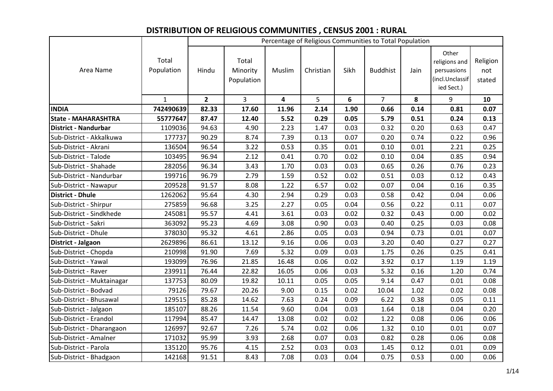## **DISTRIBUTION OF RELIGIOUS COMMUNITIES , CENSUS 2001 : RURAL**

|                             |                     |             |                                 |        |           |      | Percentage of Religious Communities to Total Population |      |                                                                        |                           |
|-----------------------------|---------------------|-------------|---------------------------------|--------|-----------|------|---------------------------------------------------------|------|------------------------------------------------------------------------|---------------------------|
| Area Name                   | Total<br>Population | Hindu       | Total<br>Minority<br>Population | Muslim | Christian | Sikh | <b>Buddhist</b>                                         | Jain | Other<br>religions and<br>persuasions<br>(incl.Unclassif<br>ied Sect.) | Religion<br>not<br>stated |
|                             | $\mathbf{1}$        | $2^{\circ}$ | $\overline{3}$                  | 4      | 5         | 6    | $\overline{7}$                                          | 8    | 9                                                                      | 10                        |
| <b>INDIA</b>                | 742490639           | 82.33       | 17.60                           | 11.96  | 2.14      | 1.90 | 0.66                                                    | 0.14 | 0.81                                                                   | 0.07                      |
| <b>State - MAHARASHTRA</b>  | 55777647            | 87.47       | 12.40                           | 5.52   | 0.29      | 0.05 | 5.79                                                    | 0.51 | 0.24                                                                   | 0.13                      |
| <b>District - Nandurbar</b> | 1109036             | 94.63       | 4.90                            | 2.23   | 1.47      | 0.03 | 0.32                                                    | 0.20 | 0.63                                                                   | 0.47                      |
| Sub-District - Akkalkuwa    | 177737              | 90.29       | 8.74                            | 7.39   | 0.13      | 0.07 | 0.20                                                    | 0.74 | 0.22                                                                   | 0.96                      |
| Sub-District - Akrani       | 136504              | 96.54       | 3.22                            | 0.53   | 0.35      | 0.01 | 0.10                                                    | 0.01 | 2.21                                                                   | 0.25                      |
| Sub-District - Talode       | 103495              | 96.94       | 2.12                            | 0.41   | 0.70      | 0.02 | 0.10                                                    | 0.04 | 0.85                                                                   | 0.94                      |
| Sub-District - Shahade      | 282056              | 96.34       | 3.43                            | 1.70   | 0.03      | 0.03 | 0.65                                                    | 0.26 | 0.76                                                                   | 0.23                      |
| Sub-District - Nandurbar    | 199716              | 96.79       | 2.79                            | 1.59   | 0.52      | 0.02 | 0.51                                                    | 0.03 | 0.12                                                                   | 0.43                      |
| Sub-District - Nawapur      | 209528              | 91.57       | 8.08                            | 1.22   | 6.57      | 0.02 | 0.07                                                    | 0.04 | 0.16                                                                   | 0.35                      |
| <b>District - Dhule</b>     | 1262062             | 95.64       | 4.30                            | 2.94   | 0.29      | 0.03 | 0.58                                                    | 0.42 | 0.04                                                                   | 0.06                      |
| Sub-District - Shirpur      | 275859              | 96.68       | 3.25                            | 2.27   | 0.05      | 0.04 | 0.56                                                    | 0.22 | 0.11                                                                   | 0.07                      |
| Sub-District - Sindkhede    | 245081              | 95.57       | 4.41                            | 3.61   | 0.03      | 0.02 | 0.32                                                    | 0.43 | 0.00                                                                   | 0.02                      |
| Sub-District - Sakri        | 363092              | 95.23       | 4.69                            | 3.08   | 0.90      | 0.03 | 0.40                                                    | 0.25 | 0.03                                                                   | 0.08                      |
| Sub-District - Dhule        | 378030              | 95.32       | 4.61                            | 2.86   | 0.05      | 0.03 | 0.94                                                    | 0.73 | 0.01                                                                   | 0.07                      |
| District - Jalgaon          | 2629896             | 86.61       | 13.12                           | 9.16   | 0.06      | 0.03 | 3.20                                                    | 0.40 | 0.27                                                                   | 0.27                      |
| Sub-District - Chopda       | 210998              | 91.90       | 7.69                            | 5.32   | 0.09      | 0.03 | 1.75                                                    | 0.26 | 0.25                                                                   | 0.41                      |
| Sub-District - Yawal        | 193099              | 76.96       | 21.85                           | 16.48  | 0.06      | 0.02 | 3.92                                                    | 0.17 | 1.19                                                                   | 1.19                      |
| Sub-District - Raver        | 239911              | 76.44       | 22.82                           | 16.05  | 0.06      | 0.03 | 5.32                                                    | 0.16 | 1.20                                                                   | 0.74                      |
| Sub-District - Muktainagar  | 137753              | 80.09       | 19.82                           | 10.11  | 0.05      | 0.05 | 9.14                                                    | 0.47 | 0.01                                                                   | 0.08                      |
| Sub-District - Bodvad       | 79126               | 79.67       | 20.26                           | 9.00   | 0.15      | 0.02 | 10.04                                                   | 1.02 | 0.02                                                                   | 0.08                      |
| Sub-District - Bhusawal     | 129515              | 85.28       | 14.62                           | 7.63   | 0.24      | 0.09 | 6.22                                                    | 0.38 | 0.05                                                                   | 0.11                      |
| Sub-District - Jalgaon      | 185107              | 88.26       | 11.54                           | 9.60   | 0.04      | 0.03 | 1.64                                                    | 0.18 | 0.04                                                                   | 0.20                      |
| Sub-District - Erandol      | 117994              | 85.47       | 14.47                           | 13.08  | 0.02      | 0.02 | 1.22                                                    | 0.08 | 0.06                                                                   | 0.06                      |
| Sub-District - Dharangaon   | 126997              | 92.67       | 7.26                            | 5.74   | 0.02      | 0.06 | 1.32                                                    | 0.10 | 0.01                                                                   | 0.07                      |
| Sub-District - Amalner      | 171032              | 95.99       | 3.93                            | 2.68   | 0.07      | 0.03 | 0.82                                                    | 0.28 | 0.06                                                                   | 0.08                      |
| Sub-District - Parola       | 135120              | 95.76       | 4.15                            | 2.52   | 0.03      | 0.03 | 1.45                                                    | 0.12 | 0.01                                                                   | 0.09                      |
| Sub-District - Bhadgaon     | 142168              | 91.51       | 8.43                            | 7.08   | 0.03      | 0.04 | 0.75                                                    | 0.53 | 0.00                                                                   | 0.06                      |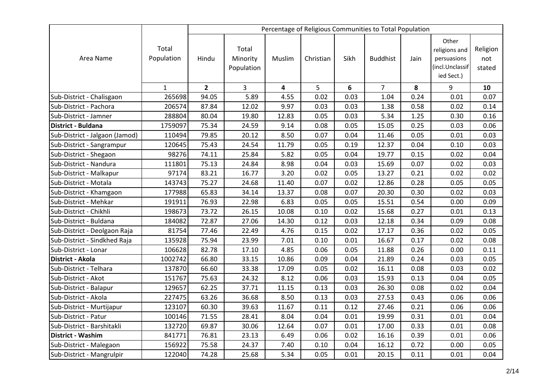|                                |                     |                |                                 |        |           |      | Percentage of Religious Communities to Total Population |      |                                                                        |                           |
|--------------------------------|---------------------|----------------|---------------------------------|--------|-----------|------|---------------------------------------------------------|------|------------------------------------------------------------------------|---------------------------|
| Area Name                      | Total<br>Population | Hindu          | Total<br>Minority<br>Population | Muslim | Christian | Sikh | <b>Buddhist</b>                                         | Jain | Other<br>religions and<br>persuasions<br>(incl.Unclassif<br>ied Sect.) | Religion<br>not<br>stated |
|                                | $\mathbf{1}$        | $\overline{2}$ | 3                               | 4      | 5         | 6    | $\overline{7}$                                          | 8    | 9                                                                      | 10                        |
| Sub-District - Chalisgaon      | 265698              | 94.05          | 5.89                            | 4.55   | 0.02      | 0.03 | 1.04                                                    | 0.24 | 0.01                                                                   | 0.07                      |
| Sub-District - Pachora         | 206574              | 87.84          | 12.02                           | 9.97   | 0.03      | 0.03 | 1.38                                                    | 0.58 | 0.02                                                                   | 0.14                      |
| Sub-District - Jamner          | 288804              | 80.04          | 19.80                           | 12.83  | 0.05      | 0.03 | 5.34                                                    | 1.25 | 0.30                                                                   | 0.16                      |
| District - Buldana             | 1759097             | 75.34          | 24.59                           | 9.14   | 0.08      | 0.05 | 15.05                                                   | 0.25 | 0.03                                                                   | 0.06                      |
| Sub-District - Jalgaon (Jamod) | 110494              | 79.85          | 20.12                           | 8.50   | 0.07      | 0.04 | 11.46                                                   | 0.05 | 0.01                                                                   | 0.03                      |
| Sub-District - Sangrampur      | 120645              | 75.43          | 24.54                           | 11.79  | 0.05      | 0.19 | 12.37                                                   | 0.04 | 0.10                                                                   | 0.03                      |
| Sub-District - Shegaon         | 98276               | 74.11          | 25.84                           | 5.82   | 0.05      | 0.04 | 19.77                                                   | 0.15 | 0.02                                                                   | 0.04                      |
| Sub-District - Nandura         | 111801              | 75.13          | 24.84                           | 8.98   | 0.04      | 0.03 | 15.69                                                   | 0.07 | 0.02                                                                   | 0.03                      |
| Sub-District - Malkapur        | 97174               | 83.21          | 16.77                           | 3.20   | 0.02      | 0.05 | 13.27                                                   | 0.21 | 0.02                                                                   | 0.02                      |
| Sub-District - Motala          | 143743              | 75.27          | 24.68                           | 11.40  | 0.07      | 0.02 | 12.86                                                   | 0.28 | 0.05                                                                   | 0.05                      |
| Sub-District - Khamgaon        | 177988              | 65.83          | 34.14                           | 13.37  | 0.08      | 0.07 | 20.30                                                   | 0.30 | 0.02                                                                   | 0.03                      |
| Sub-District - Mehkar          | 191911              | 76.93          | 22.98                           | 6.83   | 0.05      | 0.05 | 15.51                                                   | 0.54 | 0.00                                                                   | 0.09                      |
| Sub-District - Chikhli         | 198673              | 73.72          | 26.15                           | 10.08  | 0.10      | 0.02 | 15.68                                                   | 0.27 | 0.01                                                                   | 0.13                      |
| Sub-District - Buldana         | 184082              | 72.87          | 27.06                           | 14.30  | 0.12      | 0.03 | 12.18                                                   | 0.34 | 0.09                                                                   | 0.08                      |
| Sub-District - Deolgaon Raja   | 81754               | 77.46          | 22.49                           | 4.76   | 0.15      | 0.02 | 17.17                                                   | 0.36 | 0.02                                                                   | 0.05                      |
| Sub-District - Sindkhed Raja   | 135928              | 75.94          | 23.99                           | 7.01   | 0.10      | 0.01 | 16.67                                                   | 0.17 | 0.02                                                                   | 0.08                      |
| Sub-District - Lonar           | 106628              | 82.78          | 17.10                           | 4.85   | 0.06      | 0.05 | 11.88                                                   | 0.26 | 0.00                                                                   | 0.11                      |
| District - Akola               | 1002742             | 66.80          | 33.15                           | 10.86  | 0.09      | 0.04 | 21.89                                                   | 0.24 | 0.03                                                                   | 0.05                      |
| Sub-District - Telhara         | 137870              | 66.60          | 33.38                           | 17.09  | 0.05      | 0.02 | 16.11                                                   | 0.08 | 0.03                                                                   | 0.02                      |
| Sub-District - Akot            | 151767              | 75.63          | 24.32                           | 8.12   | 0.06      | 0.03 | 15.93                                                   | 0.13 | 0.04                                                                   | 0.05                      |
| Sub-District - Balapur         | 129657              | 62.25          | 37.71                           | 11.15  | 0.13      | 0.03 | 26.30                                                   | 0.08 | 0.02                                                                   | 0.04                      |
| Sub-District - Akola           | 227475              | 63.26          | 36.68                           | 8.50   | 0.13      | 0.03 | 27.53                                                   | 0.43 | 0.06                                                                   | 0.06                      |
| Sub-District - Murtijapur      | 123107              | 60.30          | 39.63                           | 11.67  | 0.11      | 0.12 | 27.46                                                   | 0.21 | 0.06                                                                   | 0.06                      |
| Sub-District - Patur           | 100146              | 71.55          | 28.41                           | 8.04   | 0.04      | 0.01 | 19.99                                                   | 0.31 | 0.01                                                                   | 0.04                      |
| Sub-District - Barshitakli     | 132720              | 69.87          | 30.06                           | 12.64  | 0.07      | 0.01 | 17.00                                                   | 0.33 | 0.01                                                                   | 0.08                      |
| <b>District - Washim</b>       | 841771              | 76.81          | 23.13                           | 6.49   | 0.06      | 0.02 | 16.16                                                   | 0.39 | 0.01                                                                   | 0.06                      |
| Sub-District - Malegaon        | 156922              | 75.58          | 24.37                           | 7.40   | 0.10      | 0.04 | 16.12                                                   | 0.72 | 0.00                                                                   | 0.05                      |
| Sub-District - Mangrulpir      | 122040              | 74.28          | 25.68                           | 5.34   | 0.05      | 0.01 | 20.15                                                   | 0.11 | 0.01                                                                   | 0.04                      |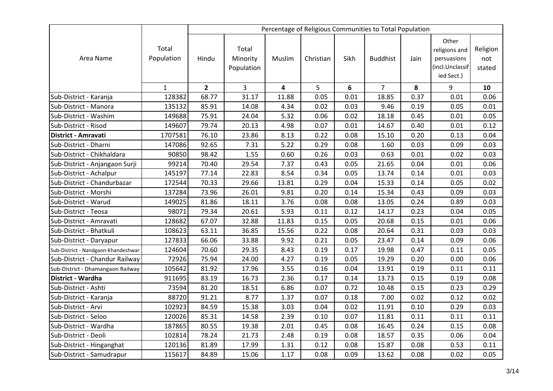|                                     |                     |                |                                 |        |           |      | Percentage of Religious Communities to Total Population |      |                                                                        |                           |
|-------------------------------------|---------------------|----------------|---------------------------------|--------|-----------|------|---------------------------------------------------------|------|------------------------------------------------------------------------|---------------------------|
| Area Name                           | Total<br>Population | Hindu          | Total<br>Minority<br>Population | Muslim | Christian | Sikh | <b>Buddhist</b>                                         | Jain | Other<br>religions and<br>persuasions<br>(incl.Unclassif<br>ied Sect.) | Religion<br>not<br>stated |
|                                     | $\mathbf{1}$        | $\overline{2}$ | 3                               | 4      | 5         | 6    | $\overline{7}$                                          | 8    | 9                                                                      | 10                        |
| Sub-District - Karanja              | 128382              | 68.77          | 31.17                           | 11.88  | 0.05      | 0.01 | 18.85                                                   | 0.37 | 0.01                                                                   | 0.06                      |
| Sub-District - Manora               | 135132              | 85.91          | 14.08                           | 4.34   | 0.02      | 0.03 | 9.46                                                    | 0.19 | 0.05                                                                   | 0.01                      |
| Sub-District - Washim               | 149688              | 75.91          | 24.04                           | 5.32   | 0.06      | 0.02 | 18.18                                                   | 0.45 | 0.01                                                                   | 0.05                      |
| Sub-District - Risod                | 149607              | 79.74          | 20.13                           | 4.98   | 0.07      | 0.01 | 14.67                                                   | 0.40 | 0.01                                                                   | 0.12                      |
| <b>District - Amravati</b>          | 1707581             | 76.10          | 23.86                           | 8.13   | 0.22      | 0.08 | 15.10                                                   | 0.20 | 0.13                                                                   | 0.04                      |
| Sub-District - Dharni               | 147086              | 92.65          | 7.31                            | 5.22   | 0.29      | 0.08 | 1.60                                                    | 0.03 | 0.09                                                                   | 0.03                      |
| Sub-District - Chikhaldara          | 90850               | 98.42          | 1.55                            | 0.60   | 0.26      | 0.03 | 0.63                                                    | 0.01 | 0.02                                                                   | 0.03                      |
| Sub-District - Anjangaon Surji      | 99214               | 70.40          | 29.54                           | 7.37   | 0.43      | 0.05 | 21.65                                                   | 0.04 | 0.01                                                                   | 0.06                      |
| Sub-District - Achalpur             | 145197              | 77.14          | 22.83                           | 8.54   | 0.34      | 0.05 | 13.74                                                   | 0.14 | 0.01                                                                   | 0.03                      |
| Sub-District - Chandurbazar         | 172544              | 70.33          | 29.66                           | 13.81  | 0.29      | 0.04 | 15.33                                                   | 0.14 | 0.05                                                                   | 0.02                      |
| Sub-District - Morshi               | 137284              | 73.96          | 26.01                           | 9.81   | 0.20      | 0.14 | 15.34                                                   | 0.43 | 0.09                                                                   | 0.03                      |
| Sub-District - Warud                | 149025              | 81.86          | 18.11                           | 3.76   | 0.08      | 0.08 | 13.05                                                   | 0.24 | 0.89                                                                   | 0.03                      |
| Sub-District - Teosa                | 98071               | 79.34          | 20.61                           | 5.93   | 0.11      | 0.12 | 14.17                                                   | 0.23 | 0.04                                                                   | 0.05                      |
| Sub-District - Amravati             | 128682              | 67.07          | 32.88                           | 11.83  | 0.15      | 0.05 | 20.68                                                   | 0.15 | 0.01                                                                   | 0.06                      |
| Sub-District - Bhatkuli             | 108623              | 63.11          | 36.85                           | 15.56  | 0.22      | 0.08 | 20.64                                                   | 0.31 | 0.03                                                                   | 0.03                      |
| Sub-District - Daryapur             | 127833              | 66.06          | 33.88                           | 9.92   | 0.21      | 0.05 | 23.47                                                   | 0.14 | 0.09                                                                   | 0.06                      |
| Sub-District - Nandgaon-Khandeshwar | 124604              | 70.60          | 29.35                           | 8.43   | 0.19      | 0.17 | 19.98                                                   | 0.47 | 0.11                                                                   | 0.05                      |
| Sub-District - Chandur Railway      | 72926               | 75.94          | 24.00                           | 4.27   | 0.19      | 0.05 | 19.29                                                   | 0.20 | 0.00                                                                   | 0.06                      |
| Sub-District - Dhamangaon Railway   | 105642              | 81.92          | 17.96                           | 3.55   | 0.16      | 0.04 | 13.91                                                   | 0.19 | 0.11                                                                   | 0.11                      |
| District - Wardha                   | 911695              | 83.19          | 16.73                           | 2.36   | 0.17      | 0.14 | 13.73                                                   | 0.15 | 0.19                                                                   | 0.08                      |
| Sub-District - Ashti                | 73594               | 81.20          | 18.51                           | 6.86   | 0.07      | 0.72 | 10.48                                                   | 0.15 | 0.23                                                                   | 0.29                      |
| Sub-District - Karanja              | 88720               | 91.21          | 8.77                            | 1.37   | 0.07      | 0.18 | 7.00                                                    | 0.02 | 0.12                                                                   | 0.02                      |
| Sub-District - Arvi                 | 102923              | 84.59          | 15.38                           | 3.03   | 0.04      | 0.02 | 11.91                                                   | 0.10 | 0.29                                                                   | 0.03                      |
| Sub-District - Seloo                | 120026              | 85.31          | 14.58                           | 2.39   | 0.10      | 0.07 | 11.81                                                   | 0.11 | 0.11                                                                   | 0.11                      |
| Sub-District - Wardha               | 187865              | 80.55          | 19.38                           | 2.01   | 0.45      | 0.08 | 16.45                                                   | 0.24 | 0.15                                                                   | 0.08                      |
| Sub-District - Deoli                | 102814              | 78.24          | 21.73                           | 2.48   | 0.19      | 0.08 | 18.57                                                   | 0.35 | 0.06                                                                   | 0.04                      |
| Sub-District - Hinganghat           | 120136              | 81.89          | 17.99                           | 1.31   | 0.12      | 0.08 | 15.87                                                   | 0.08 | 0.53                                                                   | 0.11                      |
| Sub-District - Samudrapur           | 115617              | 84.89          | 15.06                           | 1.17   | 0.08      | 0.09 | 13.62                                                   | 0.08 | 0.02                                                                   | 0.05                      |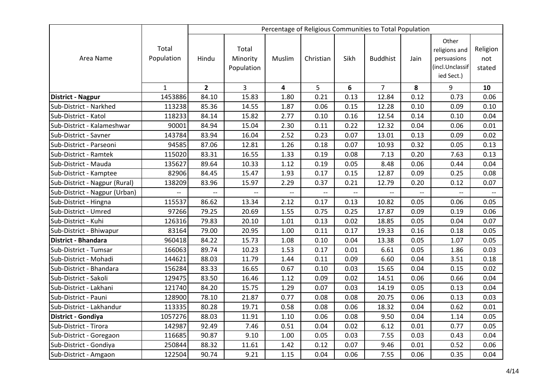|                               |                     |                |                                 |        |           |      | Percentage of Religious Communities to Total Population |      |                                                                        |                           |
|-------------------------------|---------------------|----------------|---------------------------------|--------|-----------|------|---------------------------------------------------------|------|------------------------------------------------------------------------|---------------------------|
| Area Name                     | Total<br>Population | Hindu          | Total<br>Minority<br>Population | Muslim | Christian | Sikh | <b>Buddhist</b>                                         | Jain | Other<br>religions and<br>persuasions<br>(incl.Unclassif<br>ied Sect.) | Religion<br>not<br>stated |
|                               | $\mathbf{1}$        | $\overline{2}$ | 3                               | 4      | 5         | 6    | $\overline{7}$                                          | 8    | 9                                                                      | 10                        |
| District - Nagpur             | 1453886             | 84.10          | 15.83                           | 1.80   | 0.21      | 0.13 | 12.84                                                   | 0.12 | 0.73                                                                   | 0.06                      |
| Sub-District - Narkhed        | 113238              | 85.36          | 14.55                           | 1.87   | 0.06      | 0.15 | 12.28                                                   | 0.10 | 0.09                                                                   | 0.10                      |
| Sub-District - Katol          | 118233              | 84.14          | 15.82                           | 2.77   | 0.10      | 0.16 | 12.54                                                   | 0.14 | 0.10                                                                   | 0.04                      |
| Sub-District - Kalameshwar    | 90001               | 84.94          | 15.04                           | 2.30   | 0.11      | 0.22 | 12.32                                                   | 0.04 | 0.06                                                                   | 0.01                      |
| Sub-District - Savner         | 143784              | 83.94          | 16.04                           | 2.52   | 0.23      | 0.07 | 13.01                                                   | 0.13 | 0.09                                                                   | 0.02                      |
| Sub-District - Parseoni       | 94585               | 87.06          | 12.81                           | 1.26   | 0.18      | 0.07 | 10.93                                                   | 0.32 | 0.05                                                                   | 0.13                      |
| Sub-District - Ramtek         | 115020              | 83.31          | 16.55                           | 1.33   | 0.19      | 0.08 | 7.13                                                    | 0.20 | 7.63                                                                   | 0.13                      |
| Sub-District - Mauda          | 135627              | 89.64          | 10.33                           | 1.12   | 0.19      | 0.05 | 8.48                                                    | 0.06 | 0.44                                                                   | 0.04                      |
| Sub-District - Kamptee        | 82906               | 84.45          | 15.47                           | 1.93   | 0.17      | 0.15 | 12.87                                                   | 0.09 | 0.25                                                                   | 0.08                      |
| Sub-District - Nagpur (Rural) | 138209              | 83.96          | 15.97                           | 2.29   | 0.37      | 0.21 | 12.79                                                   | 0.20 | 0.12                                                                   | 0.07                      |
| Sub-District - Nagpur (Urban) |                     |                |                                 |        |           |      |                                                         |      |                                                                        |                           |
| Sub-District - Hingna         | 115537              | 86.62          | 13.34                           | 2.12   | 0.17      | 0.13 | 10.82                                                   | 0.05 | 0.06                                                                   | 0.05                      |
| Sub-District - Umred          | 97266               | 79.25          | 20.69                           | 1.55   | 0.75      | 0.25 | 17.87                                                   | 0.09 | 0.19                                                                   | 0.06                      |
| Sub-District - Kuhi           | 126316              | 79.83          | 20.10                           | 1.01   | 0.13      | 0.02 | 18.85                                                   | 0.05 | 0.04                                                                   | 0.07                      |
| Sub-District - Bhiwapur       | 83164               | 79.00          | 20.95                           | 1.00   | 0.11      | 0.17 | 19.33                                                   | 0.16 | 0.18                                                                   | 0.05                      |
| <b>District - Bhandara</b>    | 960418              | 84.22          | 15.73                           | 1.08   | 0.10      | 0.04 | 13.38                                                   | 0.05 | 1.07                                                                   | 0.05                      |
| Sub-District - Tumsar         | 166063              | 89.74          | 10.23                           | 1.53   | 0.17      | 0.01 | 6.61                                                    | 0.05 | 1.86                                                                   | 0.03                      |
| Sub-District - Mohadi         | 144621              | 88.03          | 11.79                           | 1.44   | 0.11      | 0.09 | 6.60                                                    | 0.04 | 3.51                                                                   | 0.18                      |
| Sub-District - Bhandara       | 156284              | 83.33          | 16.65                           | 0.67   | 0.10      | 0.03 | 15.65                                                   | 0.04 | 0.15                                                                   | 0.02                      |
| Sub-District - Sakoli         | 129475              | 83.50          | 16.46                           | 1.12   | 0.09      | 0.02 | 14.51                                                   | 0.06 | 0.66                                                                   | 0.04                      |
| Sub-District - Lakhani        | 121740              | 84.20          | 15.75                           | 1.29   | 0.07      | 0.03 | 14.19                                                   | 0.05 | 0.13                                                                   | 0.04                      |
| Sub-District - Pauni          | 128900              | 78.10          | 21.87                           | 0.77   | 0.08      | 0.08 | 20.75                                                   | 0.06 | 0.13                                                                   | 0.03                      |
| Sub-District - Lakhandur      | 113335              | 80.28          | 19.71                           | 0.58   | 0.08      | 0.06 | 18.32                                                   | 0.04 | 0.62                                                                   | 0.01                      |
| District - Gondiya            | 1057276             | 88.03          | 11.91                           | 1.10   | 0.06      | 0.08 | 9.50                                                    | 0.04 | 1.14                                                                   | 0.05                      |
| Sub-District - Tirora         | 142987              | 92.49          | 7.46                            | 0.51   | 0.04      | 0.02 | 6.12                                                    | 0.01 | 0.77                                                                   | 0.05                      |
| Sub-District - Goregaon       | 116685              | 90.87          | 9.10                            | 1.00   | 0.05      | 0.03 | 7.55                                                    | 0.03 | 0.43                                                                   | 0.04                      |
| Sub-District - Gondiya        | 250844              | 88.32          | 11.61                           | 1.42   | 0.12      | 0.07 | 9.46                                                    | 0.01 | 0.52                                                                   | 0.06                      |
| Sub-District - Amgaon         | 122504              | 90.74          | 9.21                            | 1.15   | 0.04      | 0.06 | 7.55                                                    | 0.06 | 0.35                                                                   | 0.04                      |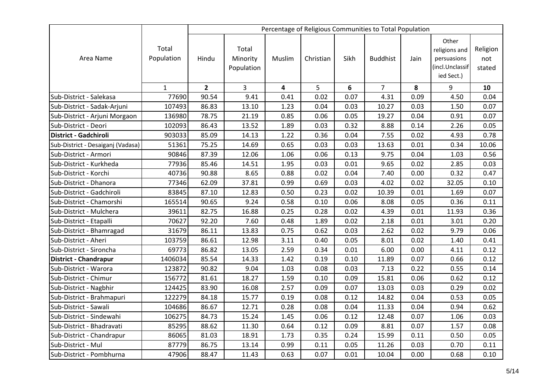|                                   |                     |                |                                 |                         |           |      | Percentage of Religious Communities to Total Population |      |                                                                        |                           |
|-----------------------------------|---------------------|----------------|---------------------------------|-------------------------|-----------|------|---------------------------------------------------------|------|------------------------------------------------------------------------|---------------------------|
| Area Name                         | Total<br>Population | Hindu          | Total<br>Minority<br>Population | Muslim                  | Christian | Sikh | <b>Buddhist</b>                                         | Jain | Other<br>religions and<br>persuasions<br>(incl.Unclassif<br>ied Sect.) | Religion<br>not<br>stated |
|                                   | $\mathbf{1}$        | $\overline{2}$ | $\overline{3}$                  | $\overline{\mathbf{4}}$ | 5         | 6    | $\overline{7}$                                          | 8    | 9                                                                      | 10                        |
| Sub-District - Salekasa           | 77690               | 90.54          | 9.41                            | 0.41                    | 0.02      | 0.07 | 4.31                                                    | 0.09 | 4.50                                                                   | 0.04                      |
| Sub-District - Sadak-Arjuni       | 107493              | 86.83          | 13.10                           | 1.23                    | 0.04      | 0.03 | 10.27                                                   | 0.03 | 1.50                                                                   | 0.07                      |
| Sub-District - Arjuni Morgaon     | 136980              | 78.75          | 21.19                           | 0.85                    | 0.06      | 0.05 | 19.27                                                   | 0.04 | 0.91                                                                   | 0.07                      |
| Sub-District - Deori              | 102093              | 86.43          | 13.52                           | 1.89                    | 0.03      | 0.32 | 8.88                                                    | 0.14 | 2.26                                                                   | 0.05                      |
| District - Gadchiroli             | 903033              | 85.09          | 14.13                           | 1.22                    | 0.36      | 0.04 | 7.55                                                    | 0.02 | 4.93                                                                   | 0.78                      |
| Sub-District - Desaiganj (Vadasa) | 51361               | 75.25          | 14.69                           | 0.65                    | 0.03      | 0.03 | 13.63                                                   | 0.01 | 0.34                                                                   | 10.06                     |
| Sub-District - Armori             | 90846               | 87.39          | 12.06                           | 1.06                    | 0.06      | 0.13 | 9.75                                                    | 0.04 | 1.03                                                                   | 0.56                      |
| Sub-District - Kurkheda           | 77936               | 85.46          | 14.51                           | 1.95                    | 0.03      | 0.01 | 9.65                                                    | 0.02 | 2.85                                                                   | 0.03                      |
| Sub-District - Korchi             | 40736               | 90.88          | 8.65                            | 0.88                    | 0.02      | 0.04 | 7.40                                                    | 0.00 | 0.32                                                                   | 0.47                      |
| Sub-District - Dhanora            | 77346               | 62.09          | 37.81                           | 0.99                    | 0.69      | 0.03 | 4.02                                                    | 0.02 | 32.05                                                                  | 0.10                      |
| Sub-District - Gadchiroli         | 83845               | 87.10          | 12.83                           | 0.50                    | 0.23      | 0.02 | 10.39                                                   | 0.01 | 1.69                                                                   | 0.07                      |
| Sub-District - Chamorshi          | 165514              | 90.65          | 9.24                            | 0.58                    | 0.10      | 0.06 | 8.08                                                    | 0.05 | 0.36                                                                   | 0.11                      |
| Sub-District - Mulchera           | 39611               | 82.75          | 16.88                           | 0.25                    | 0.28      | 0.02 | 4.39                                                    | 0.01 | 11.93                                                                  | 0.36                      |
| Sub-District - Etapalli           | 70627               | 92.20          | 7.60                            | 0.48                    | 1.89      | 0.02 | 2.18                                                    | 0.01 | 3.01                                                                   | 0.20                      |
| Sub-District - Bhamragad          | 31679               | 86.11          | 13.83                           | 0.75                    | 0.62      | 0.03 | 2.62                                                    | 0.02 | 9.79                                                                   | 0.06                      |
| Sub-District - Aheri              | 103759              | 86.61          | 12.98                           | 3.11                    | 0.40      | 0.05 | 8.01                                                    | 0.02 | 1.40                                                                   | 0.41                      |
| Sub-District - Sironcha           | 69773               | 86.82          | 13.05                           | 2.59                    | 0.34      | 0.01 | 6.00                                                    | 0.00 | 4.11                                                                   | 0.12                      |
| <b>District - Chandrapur</b>      | 1406034             | 85.54          | 14.33                           | 1.42                    | 0.19      | 0.10 | 11.89                                                   | 0.07 | 0.66                                                                   | 0.12                      |
| Sub-District - Warora             | 123872              | 90.82          | 9.04                            | 1.03                    | 0.08      | 0.03 | 7.13                                                    | 0.22 | 0.55                                                                   | 0.14                      |
| Sub-District - Chimur             | 156772              | 81.61          | 18.27                           | 1.59                    | 0.10      | 0.09 | 15.81                                                   | 0.06 | 0.62                                                                   | 0.12                      |
| Sub-District - Nagbhir            | 124425              | 83.90          | 16.08                           | 2.57                    | 0.09      | 0.07 | 13.03                                                   | 0.03 | 0.29                                                                   | 0.02                      |
| Sub-District - Brahmapuri         | 122279              | 84.18          | 15.77                           | 0.19                    | 0.08      | 0.12 | 14.82                                                   | 0.04 | 0.53                                                                   | 0.05                      |
| Sub-District - Sawali             | 104686              | 86.67          | 12.71                           | 0.28                    | 0.08      | 0.04 | 11.33                                                   | 0.04 | 0.94                                                                   | 0.62                      |
| Sub-District - Sindewahi          | 106275              | 84.73          | 15.24                           | 1.45                    | 0.06      | 0.12 | 12.48                                                   | 0.07 | 1.06                                                                   | 0.03                      |
| Sub-District - Bhadravati         | 85295               | 88.62          | 11.30                           | 0.64                    | 0.12      | 0.09 | 8.81                                                    | 0.07 | 1.57                                                                   | 0.08                      |
| Sub-District - Chandrapur         | 86065               | 81.03          | 18.91                           | 1.73                    | 0.35      | 0.24 | 15.99                                                   | 0.11 | 0.50                                                                   | 0.05                      |
| Sub-District - Mul                | 87779               | 86.75          | 13.14                           | 0.99                    | 0.11      | 0.05 | 11.26                                                   | 0.03 | 0.70                                                                   | 0.11                      |
| Sub-District - Pombhurna          | 47906               | 88.47          | 11.43                           | 0.63                    | 0.07      | 0.01 | 10.04                                                   | 0.00 | 0.68                                                                   | 0.10                      |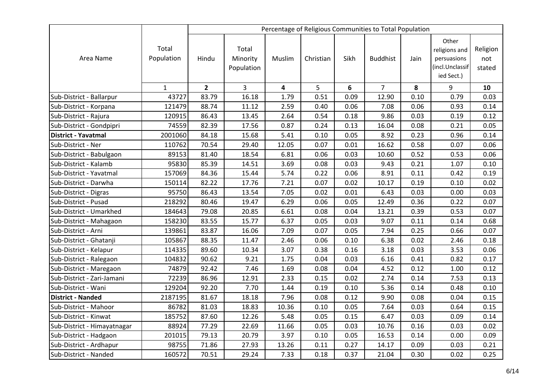|                             |                     |                |                                 |        |           |      | Percentage of Religious Communities to Total Population |      |                                                                        |                           |
|-----------------------------|---------------------|----------------|---------------------------------|--------|-----------|------|---------------------------------------------------------|------|------------------------------------------------------------------------|---------------------------|
| Area Name                   | Total<br>Population | Hindu          | Total<br>Minority<br>Population | Muslim | Christian | Sikh | <b>Buddhist</b>                                         | Jain | Other<br>religions and<br>persuasions<br>(incl.Unclassif<br>ied Sect.) | Religion<br>not<br>stated |
|                             | $\mathbf{1}$        | $\overline{2}$ | 3                               | 4      | 5         | 6    | $\overline{7}$                                          | 8    | 9                                                                      | 10                        |
| Sub-District - Ballarpur    | 43727               | 83.79          | 16.18                           | 1.79   | 0.51      | 0.09 | 12.90                                                   | 0.10 | 0.79                                                                   | 0.03                      |
| Sub-District - Korpana      | 121479              | 88.74          | 11.12                           | 2.59   | 0.40      | 0.06 | 7.08                                                    | 0.06 | 0.93                                                                   | 0.14                      |
| Sub-District - Rajura       | 120915              | 86.43          | 13.45                           | 2.64   | 0.54      | 0.18 | 9.86                                                    | 0.03 | 0.19                                                                   | 0.12                      |
| Sub-District - Gondpipri    | 74559               | 82.39          | 17.56                           | 0.87   | 0.24      | 0.13 | 16.04                                                   | 0.08 | 0.21                                                                   | 0.05                      |
| <b>District - Yavatmal</b>  | 2001060             | 84.18          | 15.68                           | 5.41   | 0.10      | 0.05 | 8.92                                                    | 0.23 | 0.96                                                                   | 0.14                      |
| Sub-District - Ner          | 110762              | 70.54          | 29.40                           | 12.05  | 0.07      | 0.01 | 16.62                                                   | 0.58 | 0.07                                                                   | 0.06                      |
| Sub-District - Babulgaon    | 89153               | 81.40          | 18.54                           | 6.81   | 0.06      | 0.03 | 10.60                                                   | 0.52 | 0.53                                                                   | 0.06                      |
| Sub-District - Kalamb       | 95830               | 85.39          | 14.51                           | 3.69   | 0.08      | 0.03 | 9.43                                                    | 0.21 | 1.07                                                                   | 0.10                      |
| Sub-District - Yavatmal     | 157069              | 84.36          | 15.44                           | 5.74   | 0.22      | 0.06 | 8.91                                                    | 0.11 | 0.42                                                                   | 0.19                      |
| Sub-District - Darwha       | 150114              | 82.22          | 17.76                           | 7.21   | 0.07      | 0.02 | 10.17                                                   | 0.19 | 0.10                                                                   | 0.02                      |
| Sub-District - Digras       | 95750               | 86.43          | 13.54                           | 7.05   | 0.02      | 0.01 | 6.43                                                    | 0.03 | 0.00                                                                   | 0.03                      |
| Sub-District - Pusad        | 218292              | 80.46          | 19.47                           | 6.29   | 0.06      | 0.05 | 12.49                                                   | 0.36 | 0.22                                                                   | 0.07                      |
| Sub-District - Umarkhed     | 184643              | 79.08          | 20.85                           | 6.61   | 0.08      | 0.04 | 13.21                                                   | 0.39 | 0.53                                                                   | 0.07                      |
| Sub-District - Mahagaon     | 158230              | 83.55          | 15.77                           | 6.37   | 0.05      | 0.03 | 9.07                                                    | 0.11 | 0.14                                                                   | 0.68                      |
| Sub-District - Arni         | 139861              | 83.87          | 16.06                           | 7.09   | 0.07      | 0.05 | 7.94                                                    | 0.25 | 0.66                                                                   | 0.07                      |
| Sub-District - Ghatanji     | 105867              | 88.35          | 11.47                           | 2.46   | 0.06      | 0.10 | 6.38                                                    | 0.02 | 2.46                                                                   | 0.18                      |
| Sub-District - Kelapur      | 114335              | 89.60          | 10.34                           | 3.07   | 0.38      | 0.16 | 3.18                                                    | 0.03 | 3.53                                                                   | 0.06                      |
| Sub-District - Ralegaon     | 104832              | 90.62          | 9.21                            | 1.75   | 0.04      | 0.03 | 6.16                                                    | 0.41 | 0.82                                                                   | 0.17                      |
| Sub-District - Maregaon     | 74879               | 92.42          | 7.46                            | 1.69   | 0.08      | 0.04 | 4.52                                                    | 0.12 | 1.00                                                                   | 0.12                      |
| Sub-District - Zari-Jamani  | 72239               | 86.96          | 12.91                           | 2.33   | 0.15      | 0.02 | 2.74                                                    | 0.14 | 7.53                                                                   | 0.13                      |
| Sub-District - Wani         | 129204              | 92.20          | 7.70                            | 1.44   | 0.19      | 0.10 | 5.36                                                    | 0.14 | 0.48                                                                   | 0.10                      |
| <b>District - Nanded</b>    | 2187195             | 81.67          | 18.18                           | 7.96   | 0.08      | 0.12 | 9.90                                                    | 0.08 | 0.04                                                                   | 0.15                      |
| Sub-District - Mahoor       | 86782               | 81.03          | 18.83                           | 10.36  | 0.10      | 0.05 | 7.64                                                    | 0.03 | 0.64                                                                   | 0.15                      |
| Sub-District - Kinwat       | 185752              | 87.60          | 12.26                           | 5.48   | 0.05      | 0.15 | 6.47                                                    | 0.03 | 0.09                                                                   | 0.14                      |
| Sub-District - Himayatnagar | 88924               | 77.29          | 22.69                           | 11.66  | 0.05      | 0.03 | 10.76                                                   | 0.16 | 0.03                                                                   | 0.02                      |
| Sub-District - Hadgaon      | 201015              | 79.13          | 20.79                           | 3.97   | 0.10      | 0.05 | 16.53                                                   | 0.14 | 0.00                                                                   | 0.09                      |
| Sub-District - Ardhapur     | 98755               | 71.86          | 27.93                           | 13.26  | 0.11      | 0.27 | 14.17                                                   | 0.09 | 0.03                                                                   | 0.21                      |
| Sub-District - Nanded       | 160572              | 70.51          | 29.24                           | 7.33   | 0.18      | 0.37 | 21.04                                                   | 0.30 | 0.02                                                                   | 0.25                      |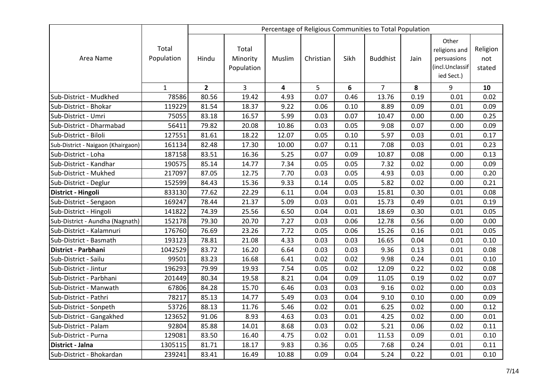|                                    |                     |              |                                 |        |           |      | Percentage of Religious Communities to Total Population |      |                                                                        |                           |
|------------------------------------|---------------------|--------------|---------------------------------|--------|-----------|------|---------------------------------------------------------|------|------------------------------------------------------------------------|---------------------------|
| Area Name                          | Total<br>Population | Hindu        | Total<br>Minority<br>Population | Muslim | Christian | Sikh | <b>Buddhist</b>                                         | Jain | Other<br>religions and<br>persuasions<br>(incl.Unclassif<br>ied Sect.) | Religion<br>not<br>stated |
|                                    | $\mathbf{1}$        | $\mathbf{2}$ | 3                               | 4      | 5         | 6    | $\overline{7}$                                          | 8    | 9                                                                      | 10                        |
| Sub-District - Mudkhed             | 78586               | 80.56        | 19.42                           | 4.93   | 0.07      | 0.46 | 13.76                                                   | 0.19 | 0.01                                                                   | 0.02                      |
| Sub-District - Bhokar              | 119229              | 81.54        | 18.37                           | 9.22   | 0.06      | 0.10 | 8.89                                                    | 0.09 | 0.01                                                                   | 0.09                      |
| Sub-District - Umri                | 75055               | 83.18        | 16.57                           | 5.99   | 0.03      | 0.07 | 10.47                                                   | 0.00 | 0.00                                                                   | 0.25                      |
| Sub-District - Dharmabad           | 56411               | 79.82        | 20.08                           | 10.86  | 0.03      | 0.05 | 9.08                                                    | 0.07 | 0.00                                                                   | 0.09                      |
| Sub-District - Biloli              | 127551              | 81.61        | 18.22                           | 12.07  | 0.05      | 0.10 | 5.97                                                    | 0.03 | 0.01                                                                   | 0.17                      |
| Sub-District - Naigaon (Khairgaon) | 161134              | 82.48        | 17.30                           | 10.00  | 0.07      | 0.11 | 7.08                                                    | 0.03 | 0.01                                                                   | 0.23                      |
| Sub-District - Loha                | 187158              | 83.51        | 16.36                           | 5.25   | 0.07      | 0.09 | 10.87                                                   | 0.08 | 0.00                                                                   | 0.13                      |
| Sub-District - Kandhar             | 190575              | 85.14        | 14.77                           | 7.34   | 0.05      | 0.05 | 7.32                                                    | 0.02 | 0.00                                                                   | 0.09                      |
| Sub-District - Mukhed              | 217097              | 87.05        | 12.75                           | 7.70   | 0.03      | 0.05 | 4.93                                                    | 0.03 | 0.00                                                                   | 0.20                      |
| Sub-District - Deglur              | 152599              | 84.43        | 15.36                           | 9.33   | 0.14      | 0.05 | 5.82                                                    | 0.02 | 0.00                                                                   | 0.21                      |
| District - Hingoli                 | 833130              | 77.62        | 22.29                           | 6.11   | 0.04      | 0.03 | 15.81                                                   | 0.30 | 0.01                                                                   | 0.08                      |
| Sub-District - Sengaon             | 169247              | 78.44        | 21.37                           | 5.09   | 0.03      | 0.01 | 15.73                                                   | 0.49 | 0.01                                                                   | 0.19                      |
| Sub-District - Hingoli             | 141822              | 74.39        | 25.56                           | 6.50   | 0.04      | 0.01 | 18.69                                                   | 0.30 | 0.01                                                                   | 0.05                      |
| Sub-District - Aundha (Nagnath)    | 152178              | 79.30        | 20.70                           | 7.27   | 0.03      | 0.06 | 12.78                                                   | 0.56 | 0.00                                                                   | 0.00                      |
| Sub-District - Kalamnuri           | 176760              | 76.69        | 23.26                           | 7.72   | 0.05      | 0.06 | 15.26                                                   | 0.16 | 0.01                                                                   | 0.05                      |
| Sub-District - Basmath             | 193123              | 78.81        | 21.08                           | 4.33   | 0.03      | 0.03 | 16.65                                                   | 0.04 | 0.01                                                                   | 0.10                      |
| District - Parbhani                | 1042529             | 83.72        | 16.20                           | 6.64   | 0.03      | 0.03 | 9.36                                                    | 0.13 | 0.01                                                                   | 0.08                      |
| Sub-District - Sailu               | 99501               | 83.23        | 16.68                           | 6.41   | 0.02      | 0.02 | 9.98                                                    | 0.24 | 0.01                                                                   | 0.10                      |
| Sub-District - Jintur              | 196293              | 79.99        | 19.93                           | 7.54   | 0.05      | 0.02 | 12.09                                                   | 0.22 | 0.02                                                                   | 0.08                      |
| Sub-District - Parbhani            | 201449              | 80.34        | 19.58                           | 8.21   | 0.04      | 0.09 | 11.05                                                   | 0.19 | 0.02                                                                   | 0.07                      |
| Sub-District - Manwath             | 67806               | 84.28        | 15.70                           | 6.46   | 0.03      | 0.03 | 9.16                                                    | 0.02 | 0.00                                                                   | 0.03                      |
| Sub-District - Pathri              | 78217               | 85.13        | 14.77                           | 5.49   | 0.03      | 0.04 | 9.10                                                    | 0.10 | 0.00                                                                   | 0.09                      |
| Sub-District - Sonpeth             | 53726               | 88.13        | 11.76                           | 5.46   | 0.02      | 0.01 | 6.25                                                    | 0.02 | 0.00                                                                   | 0.12                      |
| Sub-District - Gangakhed           | 123652              | 91.06        | 8.93                            | 4.63   | 0.03      | 0.01 | 4.25                                                    | 0.02 | 0.00                                                                   | 0.01                      |
| Sub-District - Palam               | 92804               | 85.88        | 14.01                           | 8.68   | 0.03      | 0.02 | 5.21                                                    | 0.06 | 0.02                                                                   | 0.11                      |
| Sub-District - Purna               | 129081              | 83.50        | 16.40                           | 4.75   | 0.02      | 0.01 | 11.53                                                   | 0.09 | 0.01                                                                   | 0.10                      |
| District - Jalna                   | 1305115             | 81.71        | 18.17                           | 9.83   | 0.36      | 0.05 | 7.68                                                    | 0.24 | 0.01                                                                   | 0.11                      |
| Sub-District - Bhokardan           | 239241              | 83.41        | 16.49                           | 10.88  | 0.09      | 0.04 | 5.24                                                    | 0.22 | 0.01                                                                   | 0.10                      |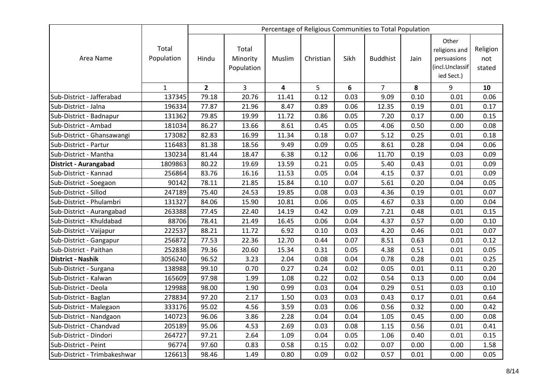|                              |                     |              |                                 |                         |           |      | Percentage of Religious Communities to Total Population |      |                                                                        |                           |
|------------------------------|---------------------|--------------|---------------------------------|-------------------------|-----------|------|---------------------------------------------------------|------|------------------------------------------------------------------------|---------------------------|
| Area Name                    | Total<br>Population | Hindu        | Total<br>Minority<br>Population | Muslim                  | Christian | Sikh | <b>Buddhist</b>                                         | Jain | Other<br>religions and<br>persuasions<br>incl.Unclassif)<br>ied Sect.) | Religion<br>not<br>stated |
|                              | $\mathbf{1}$        | $\mathbf{2}$ | 3                               | $\overline{\mathbf{4}}$ | 5         | 6    | $\overline{7}$                                          | 8    | 9                                                                      | 10                        |
| Sub-District - Jafferabad    | 137345              | 79.18        | 20.76                           | 11.41                   | 0.12      | 0.03 | 9.09                                                    | 0.10 | 0.01                                                                   | 0.06                      |
| Sub-District - Jalna         | 196334              | 77.87        | 21.96                           | 8.47                    | 0.89      | 0.06 | 12.35                                                   | 0.19 | 0.01                                                                   | 0.17                      |
| Sub-District - Badnapur      | 131362              | 79.85        | 19.99                           | 11.72                   | 0.86      | 0.05 | 7.20                                                    | 0.17 | 0.00                                                                   | 0.15                      |
| Sub-District - Ambad         | 181034              | 86.27        | 13.66                           | 8.61                    | 0.45      | 0.05 | 4.06                                                    | 0.50 | 0.00                                                                   | 0.08                      |
| Sub-District - Ghansawangi   | 173082              | 82.83        | 16.99                           | 11.34                   | 0.18      | 0.07 | 5.12                                                    | 0.25 | 0.01                                                                   | 0.18                      |
| Sub-District - Partur        | 116483              | 81.38        | 18.56                           | 9.49                    | 0.09      | 0.05 | 8.61                                                    | 0.28 | 0.04                                                                   | 0.06                      |
| Sub-District - Mantha        | 130234              | 81.44        | 18.47                           | 6.38                    | 0.12      | 0.06 | 11.70                                                   | 0.19 | 0.03                                                                   | 0.09                      |
| <b>District - Aurangabad</b> | 1809863             | 80.22        | 19.69                           | 13.59                   | 0.21      | 0.05 | 5.40                                                    | 0.43 | 0.01                                                                   | 0.09                      |
| Sub-District - Kannad        | 256864              | 83.76        | 16.16                           | 11.53                   | 0.05      | 0.04 | 4.15                                                    | 0.37 | 0.01                                                                   | 0.09                      |
| Sub-District - Soegaon       | 90142               | 78.11        | 21.85                           | 15.84                   | 0.10      | 0.07 | 5.61                                                    | 0.20 | 0.04                                                                   | 0.05                      |
| Sub-District - Sillod        | 247189              | 75.40        | 24.53                           | 19.85                   | 0.08      | 0.03 | 4.36                                                    | 0.19 | 0.01                                                                   | 0.07                      |
| Sub-District - Phulambri     | 131327              | 84.06        | 15.90                           | 10.81                   | 0.06      | 0.05 | 4.67                                                    | 0.33 | 0.00                                                                   | 0.04                      |
| Sub-District - Aurangabad    | 263388              | 77.45        | 22.40                           | 14.19                   | 0.42      | 0.09 | 7.21                                                    | 0.48 | 0.01                                                                   | 0.15                      |
| Sub-District - Khuldabad     | 88706               | 78.41        | 21.49                           | 16.45                   | 0.06      | 0.04 | 4.37                                                    | 0.57 | 0.00                                                                   | 0.10                      |
| Sub-District - Vaijapur      | 222537              | 88.21        | 11.72                           | 6.92                    | 0.10      | 0.03 | 4.20                                                    | 0.46 | 0.01                                                                   | 0.07                      |
| Sub-District - Gangapur      | 256872              | 77.53        | 22.36                           | 12.70                   | 0.44      | 0.07 | 8.51                                                    | 0.63 | 0.01                                                                   | 0.12                      |
| Sub-District - Paithan       | 252838              | 79.36        | 20.60                           | 15.34                   | 0.31      | 0.05 | 4.38                                                    | 0.51 | 0.01                                                                   | 0.05                      |
| <b>District - Nashik</b>     | 3056240             | 96.52        | 3.23                            | 2.04                    | 0.08      | 0.04 | 0.78                                                    | 0.28 | 0.01                                                                   | 0.25                      |
| Sub-District - Surgana       | 138988              | 99.10        | 0.70                            | 0.27                    | 0.24      | 0.02 | 0.05                                                    | 0.01 | 0.11                                                                   | 0.20                      |
| Sub-District - Kalwan        | 165609              | 97.98        | 1.99                            | 1.08                    | 0.22      | 0.02 | 0.54                                                    | 0.13 | 0.00                                                                   | 0.04                      |
| Sub-District - Deola         | 129988              | 98.00        | 1.90                            | 0.99                    | 0.03      | 0.04 | 0.29                                                    | 0.51 | 0.03                                                                   | 0.10                      |
| Sub-District - Baglan        | 278834              | 97.20        | 2.17                            | 1.50                    | 0.03      | 0.03 | 0.43                                                    | 0.17 | 0.01                                                                   | 0.64                      |
| Sub-District - Malegaon      | 333176              | 95.02        | 4.56                            | 3.59                    | 0.03      | 0.06 | 0.56                                                    | 0.32 | 0.00                                                                   | 0.42                      |
| Sub-District - Nandgaon      | 140723              | 96.06        | 3.86                            | 2.28                    | 0.04      | 0.04 | 1.05                                                    | 0.45 | 0.00                                                                   | 0.08                      |
| Sub-District - Chandvad      | 205189              | 95.06        | 4.53                            | 2.69                    | 0.03      | 0.08 | 1.15                                                    | 0.56 | 0.01                                                                   | 0.41                      |
| Sub-District - Dindori       | 264727              | 97.21        | 2.64                            | 1.09                    | 0.04      | 0.05 | 1.06                                                    | 0.40 | 0.01                                                                   | 0.15                      |
| Sub-District - Peint         | 96774               | 97.60        | 0.83                            | 0.58                    | 0.15      | 0.02 | 0.07                                                    | 0.00 | 0.00                                                                   | 1.58                      |
| Sub-District - Trimbakeshwar | 126613              | 98.46        | 1.49                            | 0.80                    | 0.09      | 0.02 | 0.57                                                    | 0.01 | 0.00                                                                   | 0.05                      |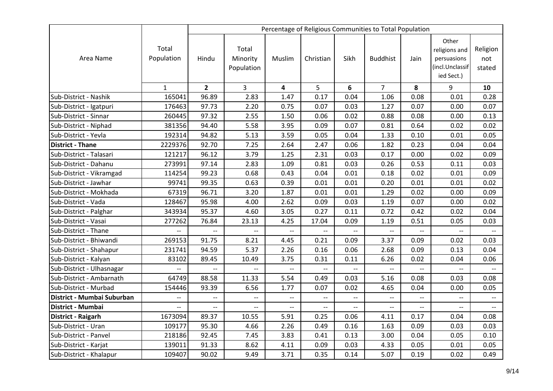|                            |                     |                          |                                 |                         |                          |                          | Percentage of Religious Communities to Total Population |                          |                                                                        |                           |
|----------------------------|---------------------|--------------------------|---------------------------------|-------------------------|--------------------------|--------------------------|---------------------------------------------------------|--------------------------|------------------------------------------------------------------------|---------------------------|
| Area Name                  | Total<br>Population | Hindu                    | Total<br>Minority<br>Population | Muslim                  | Christian                | Sikh                     | <b>Buddhist</b>                                         | Jain                     | Other<br>religions and<br>persuasions<br>(incl.Unclassif<br>ied Sect.) | Religion<br>not<br>stated |
|                            | $\mathbf{1}$        | $\overline{2}$           | 3                               | $\overline{\mathbf{4}}$ | 5                        | 6                        | $\overline{7}$                                          | 8                        | 9                                                                      | 10                        |
| Sub-District - Nashik      | 165041              | 96.89                    | 2.83                            | 1.47                    | 0.17                     | 0.04                     | 1.06                                                    | 0.08                     | 0.01                                                                   | 0.28                      |
| Sub-District - Igatpuri    | 176463              | 97.73                    | 2.20                            | 0.75                    | 0.07                     | 0.03                     | 1.27                                                    | 0.07                     | 0.00                                                                   | 0.07                      |
| Sub-District - Sinnar      | 260445              | 97.32                    | 2.55                            | 1.50                    | 0.06                     | 0.02                     | 0.88                                                    | 0.08                     | 0.00                                                                   | 0.13                      |
| Sub-District - Niphad      | 381356              | 94.40                    | 5.58                            | 3.95                    | 0.09                     | 0.07                     | 0.81                                                    | 0.64                     | 0.02                                                                   | 0.02                      |
| Sub-District - Yevla       | 192314              | 94.82                    | 5.13                            | 3.59                    | 0.05                     | 0.04                     | 1.33                                                    | 0.10                     | 0.01                                                                   | 0.05                      |
| <b>District - Thane</b>    | 2229376             | 92.70                    | 7.25                            | 2.64                    | 2.47                     | 0.06                     | 1.82                                                    | 0.23                     | 0.04                                                                   | 0.04                      |
| Sub-District - Talasari    | 121217              | 96.12                    | 3.79                            | 1.25                    | 2.31                     | 0.03                     | 0.17                                                    | 0.00                     | 0.02                                                                   | 0.09                      |
| Sub-District - Dahanu      | 273991              | 97.14                    | 2.83                            | 1.09                    | 0.81                     | 0.03                     | 0.26                                                    | 0.53                     | 0.11                                                                   | 0.03                      |
| Sub-District - Vikramgad   | 114254              | 99.23                    | 0.68                            | 0.43                    | 0.04                     | 0.01                     | 0.18                                                    | 0.02                     | 0.01                                                                   | 0.09                      |
| Sub-District - Jawhar      | 99741               | 99.35                    | 0.63                            | 0.39                    | 0.01                     | 0.01                     | 0.20                                                    | 0.01                     | 0.01                                                                   | 0.02                      |
| Sub-District - Mokhada     | 67319               | 96.71                    | 3.20                            | 1.87                    | 0.01                     | 0.01                     | 1.29                                                    | 0.02                     | 0.00                                                                   | 0.09                      |
| Sub-District - Vada        | 128467              | 95.98                    | 4.00                            | 2.62                    | 0.09                     | 0.03                     | 1.19                                                    | 0.07                     | 0.00                                                                   | 0.02                      |
| Sub-District - Palghar     | 343934              | 95.37                    | 4.60                            | 3.05                    | 0.27                     | 0.11                     | 0.72                                                    | 0.42                     | 0.02                                                                   | 0.04                      |
| Sub-District - Vasai       | 277262              | 76.84                    | 23.13                           | 4.25                    | 17.04                    | 0.09                     | 1.19                                                    | 0.51                     | 0.05                                                                   | 0.03                      |
| Sub-District - Thane       | $-$                 | $-$                      | $-$                             | $-$                     | $-$                      | $-$                      | --                                                      | $\overline{\phantom{a}}$ |                                                                        |                           |
| Sub-District - Bhiwandi    | 269153              | 91.75                    | 8.21                            | 4.45                    | 0.21                     | 0.09                     | 3.37                                                    | 0.09                     | 0.02                                                                   | 0.03                      |
| Sub-District - Shahapur    | 231741              | 94.59                    | 5.37                            | 2.26                    | 0.16                     | 0.06                     | 2.68                                                    | 0.09                     | 0.13                                                                   | 0.04                      |
| Sub-District - Kalyan      | 83102               | 89.45                    | 10.49                           | 3.75                    | 0.31                     | 0.11                     | 6.26                                                    | 0.02                     | 0.04                                                                   | 0.06                      |
| Sub-District - Ulhasnagar  | $\overline{a}$      |                          | $\overline{a}$                  | $\overline{a}$          | --                       | $\overline{a}$           | $\overline{a}$                                          | $\overline{a}$           |                                                                        |                           |
| Sub-District - Ambarnath   | 64749               | 88.58                    | 11.33                           | 5.54                    | 0.49                     | 0.03                     | 5.16                                                    | 0.08                     | 0.03                                                                   | 0.08                      |
| Sub-District - Murbad      | 154446              | 93.39                    | 6.56                            | 1.77                    | 0.07                     | 0.02                     | 4.65                                                    | 0.04                     | 0.00                                                                   | 0.05                      |
| District - Mumbai Suburban | $-$                 | $\overline{\phantom{a}}$ | $-$                             | $-$                     | $\overline{\phantom{m}}$ | $\qquad \qquad -$        | $\overline{\phantom{a}}$                                | $\overline{\phantom{a}}$ |                                                                        | $--$                      |
| District - Mumbai          |                     | $-$                      | $-$                             | $-$                     | $\overline{\phantom{a}}$ | $\overline{\phantom{a}}$ | $-$                                                     | $\overline{\phantom{a}}$ |                                                                        | $\overline{\phantom{a}}$  |
| District - Raigarh         | 1673094             | 89.37                    | 10.55                           | 5.91                    | 0.25                     | 0.06                     | 4.11                                                    | 0.17                     | 0.04                                                                   | 0.08                      |
| Sub-District - Uran        | 109177              | 95.30                    | 4.66                            | 2.26                    | 0.49                     | 0.16                     | 1.63                                                    | 0.09                     | 0.03                                                                   | 0.03                      |
| Sub-District - Panvel      | 218186              | 92.45                    | 7.45                            | 3.83                    | 0.41                     | 0.13                     | 3.00                                                    | 0.04                     | 0.05                                                                   | 0.10                      |
| Sub-District - Karjat      | 139011              | 91.33                    | 8.62                            | 4.11                    | 0.09                     | 0.03                     | 4.33                                                    | 0.05                     | 0.01                                                                   | 0.05                      |
| Sub-District - Khalapur    | 109407              | 90.02                    | 9.49                            | 3.71                    | 0.35                     | 0.14                     | 5.07                                                    | 0.19                     | 0.02                                                                   | 0.49                      |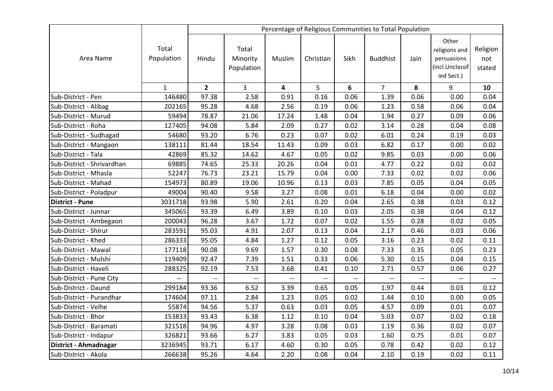|                            |                     |                          |                                 |        |                          |      | Percentage of Religious Communities to Total Population |      |                                                                        |                           |
|----------------------------|---------------------|--------------------------|---------------------------------|--------|--------------------------|------|---------------------------------------------------------|------|------------------------------------------------------------------------|---------------------------|
| Area Name                  | Total<br>Population | Hindu                    | Total<br>Minority<br>Population | Muslim | Christian                | Sikh | <b>Buddhist</b>                                         | Jain | Other<br>religions and<br>persuasions<br>(incl.Unclassif<br>ied Sect.) | Religion<br>not<br>stated |
|                            | $\mathbf{1}$        | $\overline{2}$           | 3                               | 4      | 5                        | 6    | $\overline{7}$                                          | 8    | 9                                                                      | 10                        |
| Sub-District - Pen         | 146480              | 97.38                    | 2.58                            | 0.91   | 0.16                     | 0.06 | 1.39                                                    | 0.06 | 0.00                                                                   | 0.04                      |
| Sub-District - Alibag      | 202165              | 95.28                    | 4.68                            | 2.56   | 0.19                     | 0.06 | 1.23                                                    | 0.58 | 0.06                                                                   | 0.04                      |
| Sub-District - Murud       | 59494               | 78.87                    | 21.06                           | 17.24  | 1.48                     | 0.04 | 1.94                                                    | 0.27 | 0.09                                                                   | 0.06                      |
| Sub-District - Roha        | 127405              | 94.08                    | 5.84                            | 2.09   | 0.27                     | 0.02 | 3.14                                                    | 0.28 | 0.04                                                                   | 0.08                      |
| Sub-District - Sudhagad    | 54680               | 93.20                    | 6.76                            | 0.23   | 0.07                     | 0.02 | 6.01                                                    | 0.24 | 0.19                                                                   | 0.03                      |
| Sub-District - Mangaon     | 138111              | 81.44                    | 18.54                           | 11.43  | 0.09                     | 0.03 | 6.82                                                    | 0.17 | 0.00                                                                   | 0.02                      |
| Sub-District - Tala        | 42869               | 85.32                    | 14.62                           | 4.67   | 0.05                     | 0.02 | 9.85                                                    | 0.03 | 0.00                                                                   | 0.06                      |
| Sub-District - Shrivardhan | 69885               | 74.65                    | 25.33                           | 20.26  | 0.04                     | 0.01 | 4.77                                                    | 0.22 | 0.02                                                                   | 0.02                      |
| Sub-District - Mhasla      | 52247               | 76.73                    | 23.21                           | 15.79  | 0.04                     | 0.00 | 7.33                                                    | 0.02 | 0.02                                                                   | 0.06                      |
| Sub-District - Mahad       | 154973              | 80.89                    | 19.06                           | 10.96  | 0.13                     | 0.03 | 7.85                                                    | 0.05 | 0.04                                                                   | 0.05                      |
| Sub-District - Poladpur    | 49004               | 90.40                    | 9.58                            | 3.27   | 0.08                     | 0.01 | 6.18                                                    | 0.04 | 0.00                                                                   | 0.02                      |
| District - Pune            | 3031718             | 93.98                    | 5.90                            | 2.61   | 0.20                     | 0.04 | 2.65                                                    | 0.38 | 0.03                                                                   | 0.12                      |
| Sub-District - Junnar      | 345065              | 93.39                    | 6.49                            | 3.89   | 0.10                     | 0.03 | 2.05                                                    | 0.38 | 0.04                                                                   | 0.12                      |
| Sub-District - Ambegaon    | 200043              | 96.28                    | 3.67                            | 1.72   | 0.07                     | 0.02 | 1.55                                                    | 0.28 | 0.02                                                                   | 0.05                      |
| Sub-District - Shirur      | 283591              | 95.03                    | 4.91                            | 2.07   | 0.13                     | 0.04 | 2.17                                                    | 0.46 | 0.03                                                                   | 0.06                      |
| Sub-District - Khed        | 286333              | 95.05                    | 4.84                            | 1.27   | 0.12                     | 0.05 | 3.16                                                    | 0.23 | 0.02                                                                   | 0.11                      |
| Sub-District - Mawal       | 177118              | 90.08                    | 9.69                            | 1.57   | 0.30                     | 0.08 | 7.33                                                    | 0.35 | 0.05                                                                   | 0.23                      |
| Sub-District - Mulshi      | 119409              | 92.47                    | 7.39                            | 1.51   | 0.33                     | 0.06 | 5.30                                                    | 0.15 | 0.04                                                                   | 0.15                      |
| Sub-District - Haveli      | 288325              | 92.19                    | 7.53                            | 3.68   | 0.41                     | 0.10 | 2.71                                                    | 0.57 | 0.06                                                                   | 0.27                      |
| Sub-District - Pune City   | --                  | $\overline{\phantom{a}}$ | --                              |        | $\overline{\phantom{a}}$ |      | --                                                      |      |                                                                        |                           |
| Sub-District - Daund       | 299184              | 93.36                    | 6.52                            | 3.39   | 0.65                     | 0.05 | 1.97                                                    | 0.44 | 0.03                                                                   | 0.12                      |
| Sub-District - Purandhar   | 174604              | 97.11                    | 2.84                            | 1.23   | 0.05                     | 0.02 | 1.44                                                    | 0.10 | 0.00                                                                   | 0.05                      |
| Sub-District - Velhe       | 55874               | 94.56                    | 5.37                            | 0.63   | 0.03                     | 0.05 | 4.57                                                    | 0.09 | 0.01                                                                   | 0.07                      |
| Sub-District - Bhor        | 153833              | 93.43                    | 6.38                            | 1.12   | 0.10                     | 0.04 | 5.03                                                    | 0.07 | 0.02                                                                   | 0.18                      |
| Sub-District - Baramati    | 321518              | 94.96                    | 4.97                            | 3.28   | 0.08                     | 0.03 | 1.19                                                    | 0.36 | 0.02                                                                   | 0.07                      |
| Sub-District - Indapur     | 326821              | 93.66                    | 6.27                            | 3.83   | 0.05                     | 0.03 | 1.60                                                    | 0.75 | 0.01                                                                   | 0.07                      |
| District - Ahmadnagar      | 3236945             | 93.71                    | 6.17                            | 4.60   | 0.30                     | 0.05 | 0.78                                                    | 0.42 | 0.02                                                                   | 0.12                      |
| Sub-District - Akola       | 266638              | 95.26                    | 4.64                            | 2.20   | 0.08                     | 0.04 | 2.10                                                    | 0.19 | 0.02                                                                   | 0.11                      |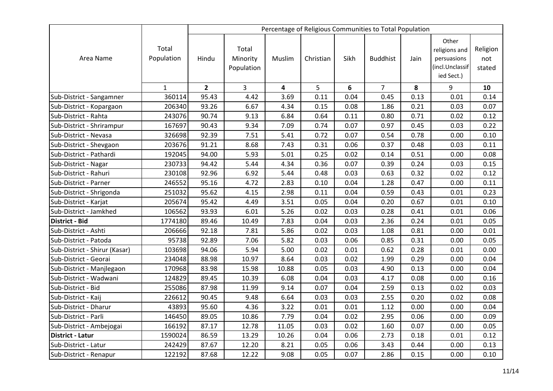|                               |                     |                |                                 |        |           |      | Percentage of Religious Communities to Total Population |      |                                                                        |                           |
|-------------------------------|---------------------|----------------|---------------------------------|--------|-----------|------|---------------------------------------------------------|------|------------------------------------------------------------------------|---------------------------|
| Area Name                     | Total<br>Population | Hindu          | Total<br>Minority<br>Population | Muslim | Christian | Sikh | <b>Buddhist</b>                                         | Jain | Other<br>religions and<br>persuasions<br>(incl.Unclassif<br>ied Sect.) | Religion<br>not<br>stated |
|                               | $\mathbf{1}$        | $\overline{2}$ | 3                               | 4      | 5         | 6    | $\overline{7}$                                          | 8    | 9                                                                      | 10                        |
| Sub-District - Sangamner      | 360114              | 95.43          | 4.42                            | 3.69   | 0.11      | 0.04 | 0.45                                                    | 0.13 | 0.01                                                                   | 0.14                      |
| Sub-District - Kopargaon      | 206340              | 93.26          | 6.67                            | 4.34   | 0.15      | 0.08 | 1.86                                                    | 0.21 | 0.03                                                                   | 0.07                      |
| Sub-District - Rahta          | 243076              | 90.74          | 9.13                            | 6.84   | 0.64      | 0.11 | 0.80                                                    | 0.71 | 0.02                                                                   | 0.12                      |
| Sub-District - Shrirampur     | 167697              | 90.43          | 9.34                            | 7.09   | 0.74      | 0.07 | 0.97                                                    | 0.45 | 0.03                                                                   | 0.22                      |
| Sub-District - Nevasa         | 326698              | 92.39          | 7.51                            | 5.41   | 0.72      | 0.07 | 0.54                                                    | 0.78 | 0.00                                                                   | 0.10                      |
| Sub-District - Shevgaon       | 203676              | 91.21          | 8.68                            | 7.43   | 0.31      | 0.06 | 0.37                                                    | 0.48 | 0.03                                                                   | 0.11                      |
| Sub-District - Pathardi       | 192045              | 94.00          | 5.93                            | 5.01   | 0.25      | 0.02 | 0.14                                                    | 0.51 | 0.00                                                                   | 0.08                      |
| Sub-District - Nagar          | 230733              | 94.42          | 5.44                            | 4.34   | 0.36      | 0.07 | 0.39                                                    | 0.24 | 0.03                                                                   | 0.15                      |
| Sub-District - Rahuri         | 230108              | 92.96          | 6.92                            | 5.44   | 0.48      | 0.03 | 0.63                                                    | 0.32 | 0.02                                                                   | 0.12                      |
| Sub-District - Parner         | 246552              | 95.16          | 4.72                            | 2.83   | 0.10      | 0.04 | 1.28                                                    | 0.47 | 0.00                                                                   | 0.11                      |
| Sub-District - Shrigonda      | 251032              | 95.62          | 4.15                            | 2.98   | 0.11      | 0.04 | 0.59                                                    | 0.43 | 0.01                                                                   | 0.23                      |
| Sub-District - Karjat         | 205674              | 95.42          | 4.49                            | 3.51   | 0.05      | 0.04 | 0.20                                                    | 0.67 | 0.01                                                                   | 0.10                      |
| Sub-District - Jamkhed        | 106562              | 93.93          | 6.01                            | 5.26   | 0.02      | 0.03 | 0.28                                                    | 0.41 | 0.01                                                                   | 0.06                      |
| <b>District - Bid</b>         | 1774180             | 89.46          | 10.49                           | 7.83   | 0.04      | 0.03 | 2.36                                                    | 0.24 | 0.01                                                                   | 0.05                      |
| Sub-District - Ashti          | 206666              | 92.18          | 7.81                            | 5.86   | 0.02      | 0.03 | 1.08                                                    | 0.81 | 0.00                                                                   | 0.01                      |
| Sub-District - Patoda         | 95738               | 92.89          | 7.06                            | 5.82   | 0.03      | 0.06 | 0.85                                                    | 0.31 | 0.00                                                                   | 0.05                      |
| Sub-District - Shirur (Kasar) | 103698              | 94.06          | 5.94                            | 5.00   | 0.02      | 0.01 | 0.62                                                    | 0.28 | 0.01                                                                   | 0.00                      |
| Sub-District - Georai         | 234048              | 88.98          | 10.97                           | 8.64   | 0.03      | 0.02 | 1.99                                                    | 0.29 | 0.00                                                                   | 0.04                      |
| Sub-District - Manjlegaon     | 170968              | 83.98          | 15.98                           | 10.88  | 0.05      | 0.03 | 4.90                                                    | 0.13 | 0.00                                                                   | 0.04                      |
| Sub-District - Wadwani        | 124829              | 89.45          | 10.39                           | 6.08   | 0.04      | 0.03 | 4.17                                                    | 0.08 | 0.00                                                                   | 0.16                      |
| Sub-District - Bid            | 255086              | 87.98          | 11.99                           | 9.14   | 0.07      | 0.04 | 2.59                                                    | 0.13 | 0.02                                                                   | 0.03                      |
| Sub-District - Kaij           | 226612              | 90.45          | 9.48                            | 6.64   | 0.03      | 0.03 | 2.55                                                    | 0.20 | 0.02                                                                   | 0.08                      |
| Sub-District - Dharur         | 43893               | 95.60          | 4.36                            | 3.22   | 0.01      | 0.01 | 1.12                                                    | 0.00 | 0.00                                                                   | 0.04                      |
| Sub-District - Parli          | 146450              | 89.05          | 10.86                           | 7.79   | 0.04      | 0.02 | 2.95                                                    | 0.06 | 0.00                                                                   | 0.09                      |
| Sub-District - Ambejogai      | 166192              | 87.17          | 12.78                           | 11.05  | 0.03      | 0.02 | 1.60                                                    | 0.07 | 0.00                                                                   | 0.05                      |
| District - Latur              | 1590024             | 86.59          | 13.29                           | 10.26  | 0.04      | 0.06 | 2.73                                                    | 0.18 | 0.01                                                                   | 0.12                      |
| Sub-District - Latur          | 242429              | 87.67          | 12.20                           | 8.21   | 0.05      | 0.06 | 3.43                                                    | 0.44 | 0.00                                                                   | 0.13                      |
| Sub-District - Renapur        | 122192              | 87.68          | 12.22                           | 9.08   | 0.05      | 0.07 | 2.86                                                    | 0.15 | 0.00                                                                   | 0.10                      |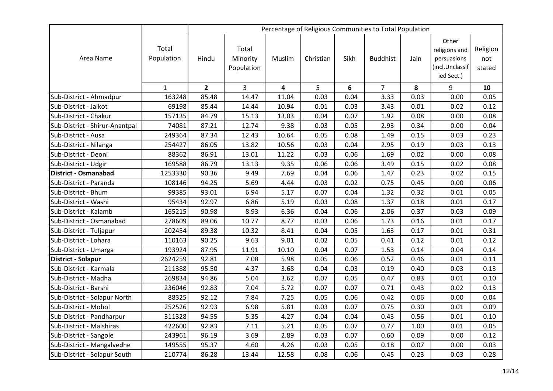|                                |                     |                |                                 |        |           |      | Percentage of Religious Communities to Total Population |      |                                                                        |                           |
|--------------------------------|---------------------|----------------|---------------------------------|--------|-----------|------|---------------------------------------------------------|------|------------------------------------------------------------------------|---------------------------|
| Area Name                      | Total<br>Population | Hindu          | Total<br>Minority<br>Population | Muslim | Christian | Sikh | <b>Buddhist</b>                                         | Jain | Other<br>religions and<br>persuasions<br>(incl.Unclassif<br>ied Sect.) | Religion<br>not<br>stated |
|                                | $\mathbf{1}$        | $\overline{2}$ | 3                               | 4      | 5         | 6    | $\overline{7}$                                          | 8    | 9                                                                      | 10                        |
| Sub-District - Ahmadpur        | 163248              | 85.48          | 14.47                           | 11.04  | 0.03      | 0.04 | 3.33                                                    | 0.03 | 0.00                                                                   | 0.05                      |
| Sub-District - Jalkot          | 69198               | 85.44          | 14.44                           | 10.94  | 0.01      | 0.03 | 3.43                                                    | 0.01 | 0.02                                                                   | 0.12                      |
| Sub-District - Chakur          | 157135              | 84.79          | 15.13                           | 13.03  | 0.04      | 0.07 | 1.92                                                    | 0.08 | 0.00                                                                   | 0.08                      |
| Sub-District - Shirur-Anantpal | 74081               | 87.21          | 12.74                           | 9.38   | 0.03      | 0.05 | 2.93                                                    | 0.34 | 0.00                                                                   | 0.04                      |
| Sub-District - Ausa            | 249364              | 87.34          | 12.43                           | 10.64  | 0.05      | 0.08 | 1.49                                                    | 0.15 | 0.03                                                                   | 0.23                      |
| Sub-District - Nilanga         | 254427              | 86.05          | 13.82                           | 10.56  | 0.03      | 0.04 | 2.95                                                    | 0.19 | 0.03                                                                   | 0.13                      |
| Sub-District - Deoni           | 88362               | 86.91          | 13.01                           | 11.22  | 0.03      | 0.06 | 1.69                                                    | 0.02 | 0.00                                                                   | 0.08                      |
| Sub-District - Udgir           | 169588              | 86.79          | 13.13                           | 9.35   | 0.06      | 0.06 | 3.49                                                    | 0.15 | 0.02                                                                   | 0.08                      |
| <b>District - Osmanabad</b>    | 1253330             | 90.36          | 9.49                            | 7.69   | 0.04      | 0.06 | 1.47                                                    | 0.23 | 0.02                                                                   | 0.15                      |
| Sub-District - Paranda         | 108146              | 94.25          | 5.69                            | 4.44   | 0.03      | 0.02 | 0.75                                                    | 0.45 | 0.00                                                                   | 0.06                      |
| Sub-District - Bhum            | 99385               | 93.01          | 6.94                            | 5.17   | 0.07      | 0.04 | 1.32                                                    | 0.32 | 0.01                                                                   | 0.05                      |
| Sub-District - Washi           | 95434               | 92.97          | 6.86                            | 5.19   | 0.03      | 0.08 | 1.37                                                    | 0.18 | 0.01                                                                   | 0.17                      |
| Sub-District - Kalamb          | 165215              | 90.98          | 8.93                            | 6.36   | 0.04      | 0.06 | 2.06                                                    | 0.37 | 0.03                                                                   | 0.09                      |
| Sub-District - Osmanabad       | 278609              | 89.06          | 10.77                           | 8.77   | 0.03      | 0.06 | 1.73                                                    | 0.16 | 0.01                                                                   | 0.17                      |
| Sub-District - Tuljapur        | 202454              | 89.38          | 10.32                           | 8.41   | 0.04      | 0.05 | 1.63                                                    | 0.17 | 0.01                                                                   | 0.31                      |
| Sub-District - Lohara          | 110163              | 90.25          | 9.63                            | 9.01   | 0.02      | 0.05 | 0.41                                                    | 0.12 | 0.01                                                                   | 0.12                      |
| Sub-District - Umarga          | 193924              | 87.95          | 11.91                           | 10.10  | 0.04      | 0.07 | 1.53                                                    | 0.14 | 0.04                                                                   | 0.14                      |
| District - Solapur             | 2624259             | 92.81          | 7.08                            | 5.98   | 0.05      | 0.06 | 0.52                                                    | 0.46 | 0.01                                                                   | 0.11                      |
| Sub-District - Karmala         | 211388              | 95.50          | 4.37                            | 3.68   | 0.04      | 0.03 | 0.19                                                    | 0.40 | 0.03                                                                   | 0.13                      |
| Sub-District - Madha           | 269834              | 94.86          | 5.04                            | 3.62   | 0.07      | 0.05 | 0.47                                                    | 0.83 | 0.01                                                                   | 0.10                      |
| Sub-District - Barshi          | 236046              | 92.83          | 7.04                            | 5.72   | 0.07      | 0.07 | 0.71                                                    | 0.43 | 0.02                                                                   | 0.13                      |
| Sub-District - Solapur North   | 88325               | 92.12          | 7.84                            | 7.25   | 0.05      | 0.06 | 0.42                                                    | 0.06 | 0.00                                                                   | 0.04                      |
| Sub-District - Mohol           | 252526              | 92.93          | 6.98                            | 5.81   | 0.03      | 0.07 | 0.75                                                    | 0.30 | 0.01                                                                   | 0.09                      |
| Sub-District - Pandharpur      | 311328              | 94.55          | 5.35                            | 4.27   | 0.04      | 0.04 | 0.43                                                    | 0.56 | 0.01                                                                   | 0.10                      |
| Sub-District - Malshiras       | 422600              | 92.83          | 7.11                            | 5.21   | 0.05      | 0.07 | 0.77                                                    | 1.00 | 0.01                                                                   | 0.05                      |
| Sub-District - Sangole         | 243961              | 96.19          | 3.69                            | 2.89   | 0.03      | 0.07 | 0.60                                                    | 0.09 | 0.00                                                                   | 0.12                      |
| Sub-District - Mangalvedhe     | 149555              | 95.37          | 4.60                            | 4.26   | 0.03      | 0.05 | 0.18                                                    | 0.07 | 0.00                                                                   | 0.03                      |
| Sub-District - Solapur South   | 210774              | 86.28          | 13.44                           | 12.58  | 0.08      | 0.06 | 0.45                                                    | 0.23 | 0.03                                                                   | 0.28                      |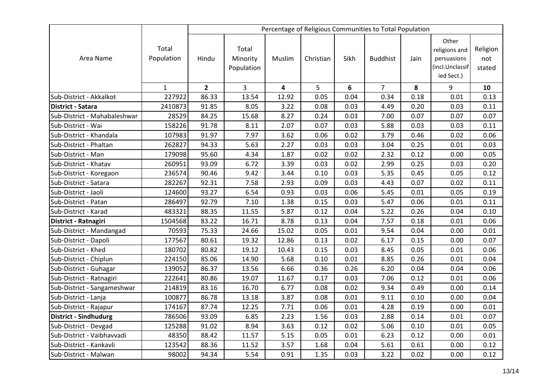|                              |                     | Percentage of Religious Communities to Total Population |                                 |                         |           |      |                 |      |                                                                        |                           |
|------------------------------|---------------------|---------------------------------------------------------|---------------------------------|-------------------------|-----------|------|-----------------|------|------------------------------------------------------------------------|---------------------------|
| Area Name                    | Total<br>Population | Hindu                                                   | Total<br>Minority<br>Population | Muslim                  | Christian | Sikh | <b>Buddhist</b> | Jain | Other<br>religions and<br>persuasions<br>(incl.Unclassif<br>ied Sect.) | Religion<br>not<br>stated |
|                              | $\mathbf{1}$        | $\overline{2}$                                          | 3                               | $\overline{\mathbf{4}}$ | 5         | 6    | $\overline{7}$  | 8    | 9                                                                      | 10                        |
| Sub-District - Akkalkot      | 227922              | 86.33                                                   | 13.54                           | 12.92                   | 0.05      | 0.04 | 0.34            | 0.18 | 0.01                                                                   | 0.13                      |
| <b>District - Satara</b>     | 2410873             | 91.85                                                   | 8.05                            | 3.22                    | 0.08      | 0.03 | 4.49            | 0.20 | 0.03                                                                   | 0.11                      |
| Sub-District - Mahabaleshwar | 28529               | 84.25                                                   | 15.68                           | 8.27                    | 0.24      | 0.03 | 7.00            | 0.07 | 0.07                                                                   | 0.07                      |
| Sub-District - Wai           | 158226              | 91.78                                                   | 8.11                            | 2.07                    | 0.07      | 0.03 | 5.88            | 0.03 | 0.03                                                                   | 0.11                      |
| Sub-District - Khandala      | 107983              | 91.97                                                   | 7.97                            | 3.62                    | 0.06      | 0.02 | 3.79            | 0.46 | 0.02                                                                   | 0.06                      |
| Sub-District - Phaltan       | 262827              | 94.33                                                   | 5.63                            | 2.27                    | 0.03      | 0.03 | 3.04            | 0.25 | 0.01                                                                   | 0.03                      |
| Sub-District - Man           | 179098              | 95.60                                                   | 4.34                            | 1.87                    | 0.02      | 0.02 | 2.32            | 0.12 | 0.00                                                                   | 0.05                      |
| Sub-District - Khatav        | 260951              | 93.09                                                   | 6.72                            | 3.39                    | 0.03      | 0.02 | 2.99            | 0.25 | 0.03                                                                   | 0.20                      |
| Sub-District - Koregaon      | 236574              | 90.46                                                   | 9.42                            | 3.44                    | 0.10      | 0.03 | 5.35            | 0.45 | 0.05                                                                   | 0.12                      |
| Sub-District - Satara        | 282267              | 92.31                                                   | 7.58                            | 2.93                    | 0.09      | 0.03 | 4.43            | 0.07 | 0.02                                                                   | 0.11                      |
| Sub-District - Jaoli         | 124600              | 93.27                                                   | 6.54                            | 0.93                    | 0.03      | 0.06 | 5.45            | 0.01 | 0.05                                                                   | 0.19                      |
| Sub-District - Patan         | 286497              | 92.79                                                   | 7.10                            | 1.38                    | 0.15      | 0.03 | 5.47            | 0.06 | 0.01                                                                   | 0.11                      |
| Sub-District - Karad         | 483321              | 88.35                                                   | 11.55                           | 5.87                    | 0.12      | 0.04 | 5.22            | 0.26 | 0.04                                                                   | 0.10                      |
| District - Ratnagiri         | 1504568             | 83.22                                                   | 16.71                           | 8.78                    | 0.13      | 0.04 | 7.57            | 0.18 | 0.01                                                                   | 0.06                      |
| Sub-District - Mandangad     | 70593               | 75.33                                                   | 24.66                           | 15.02                   | 0.05      | 0.01 | 9.54            | 0.04 | 0.00                                                                   | 0.01                      |
| Sub-District - Dapoli        | 177567              | 80.61                                                   | 19.32                           | 12.86                   | 0.13      | 0.02 | 6.17            | 0.15 | 0.00                                                                   | 0.07                      |
| Sub-District - Khed          | 180702              | 80.82                                                   | 19.12                           | 10.43                   | 0.15      | 0.03 | 8.45            | 0.05 | 0.01                                                                   | 0.06                      |
| Sub-District - Chiplun       | 224150              | 85.06                                                   | 14.90                           | 5.68                    | 0.10      | 0.01 | 8.85            | 0.26 | 0.01                                                                   | 0.04                      |
| Sub-District - Guhagar       | 139052              | 86.37                                                   | 13.56                           | 6.66                    | 0.36      | 0.26 | 6.20            | 0.04 | 0.04                                                                   | 0.06                      |
| Sub-District - Ratnagiri     | 222641              | 80.86                                                   | 19.07                           | 11.67                   | 0.17      | 0.03 | 7.06            | 0.12 | 0.01                                                                   | 0.06                      |
| Sub-District - Sangameshwar  | 214819              | 83.16                                                   | 16.70                           | 6.77                    | 0.08      | 0.02 | 9.34            | 0.49 | 0.00                                                                   | 0.14                      |
| Sub-District - Lanja         | 100877              | 86.78                                                   | 13.18                           | 3.87                    | 0.08      | 0.01 | 9.11            | 0.10 | 0.00                                                                   | 0.04                      |
| Sub-District - Rajapur       | 174167              | 87.74                                                   | 12.25                           | 7.71                    | 0.06      | 0.01 | 4.28            | 0.19 | 0.00                                                                   | 0.01                      |
| <b>District - Sindhudurg</b> | 786506              | 93.09                                                   | 6.85                            | 2.23                    | 1.56      | 0.03 | 2.88            | 0.14 | 0.01                                                                   | 0.07                      |
| Sub-District - Devgad        | 125288              | 91.02                                                   | 8.94                            | 3.63                    | 0.12      | 0.02 | 5.06            | 0.10 | 0.01                                                                   | 0.05                      |
| Sub-District - Vaibhavvadi   | 48350               | 88.42                                                   | 11.57                           | 5.15                    | 0.05      | 0.01 | 6.23            | 0.12 | 0.00                                                                   | 0.01                      |
| Sub-District - Kankavli      | 123542              | 88.36                                                   | 11.52                           | 3.57                    | 1.68      | 0.04 | 5.61            | 0.61 | 0.00                                                                   | 0.12                      |
| Sub-District - Malwan        | 98002               | 94.34                                                   | 5.54                            | 0.91                    | 1.35      | 0.03 | 3.22            | 0.02 | 0.00                                                                   | 0.12                      |